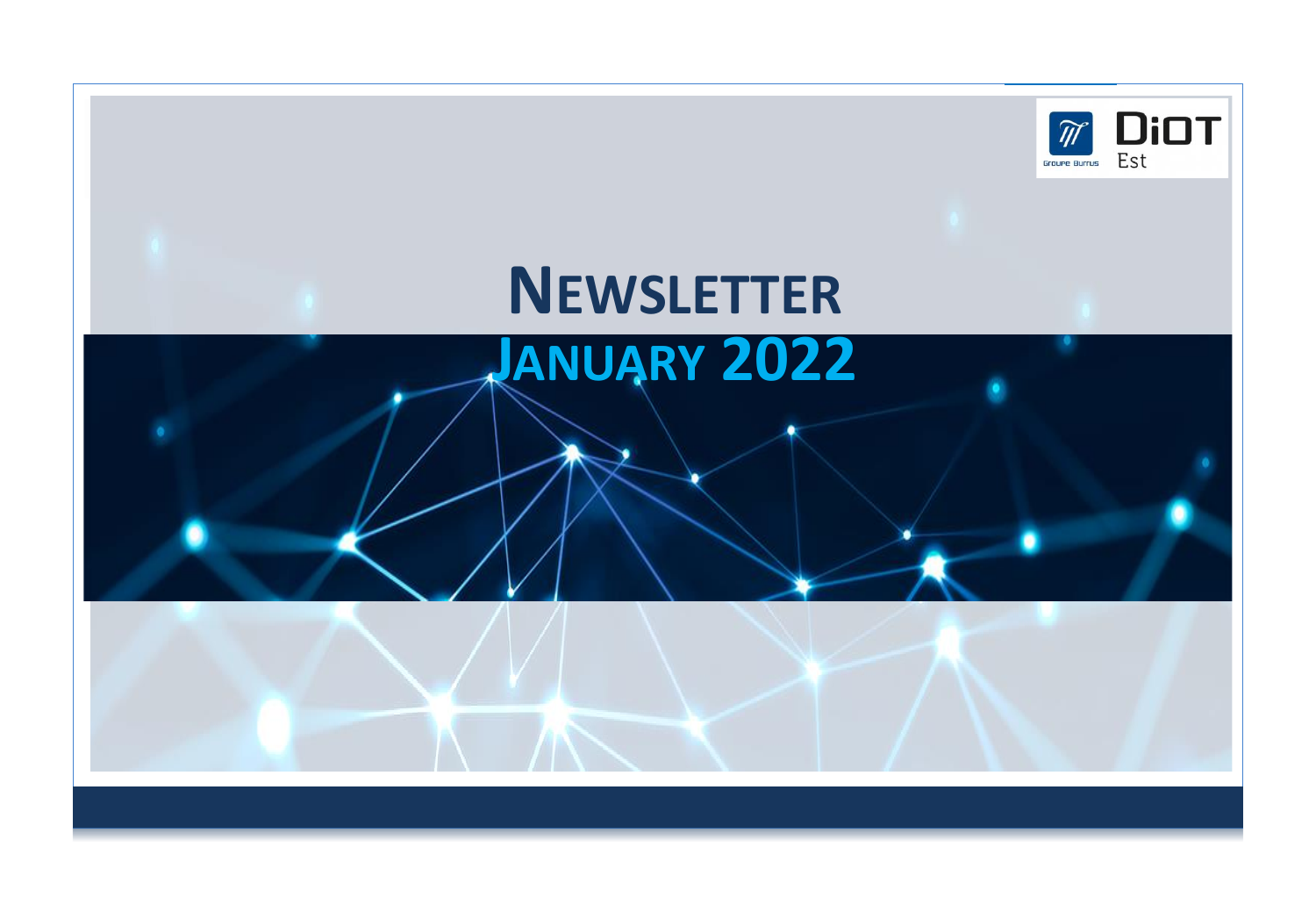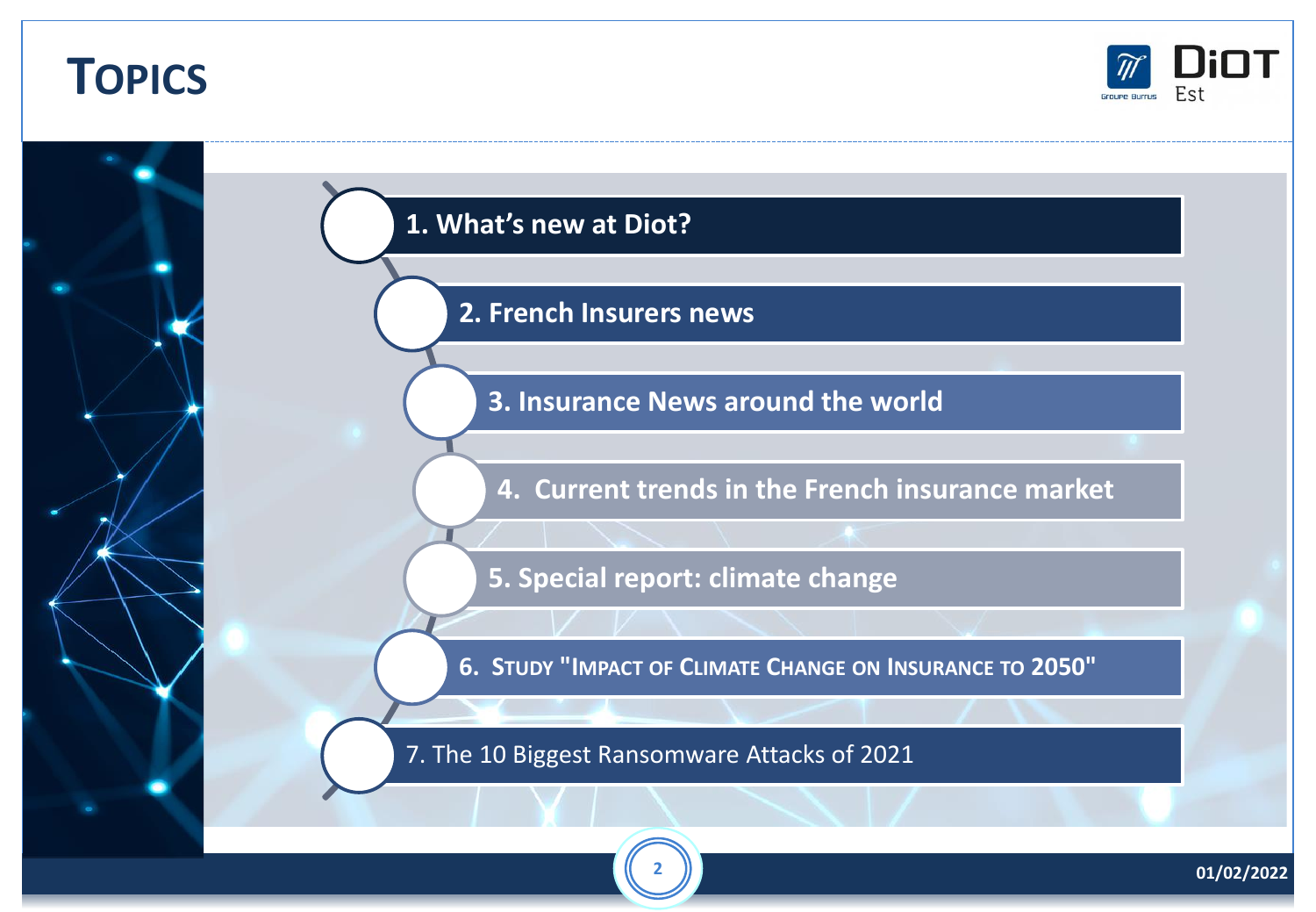## **TOPICS**



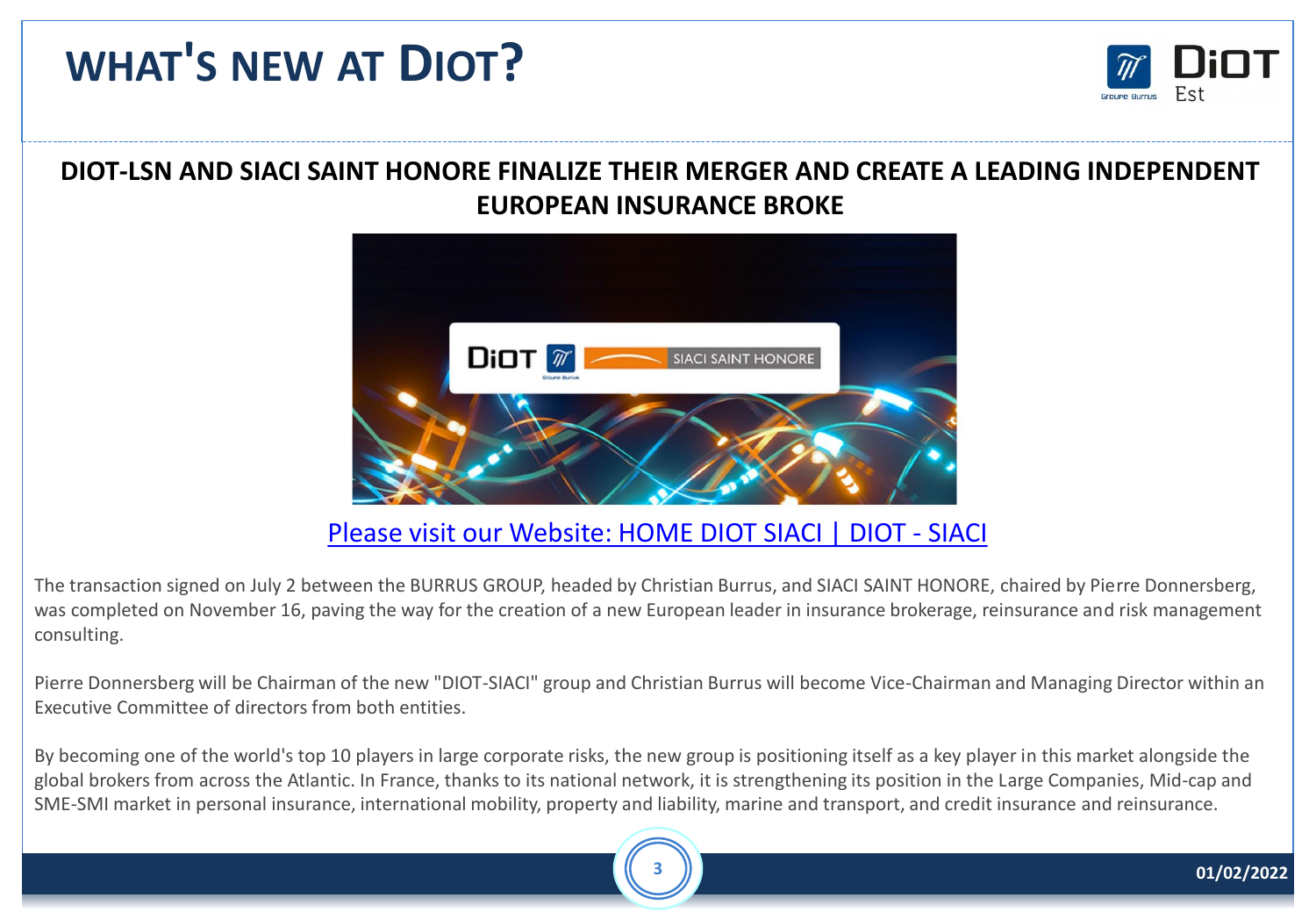# **WHAT'S NEW AT DIOT?**



#### **DIOT-LSN AND SIACI SAINT HONORE FINALIZE THEIR MERGER AND CREATE A LEADING INDEPENDENT EUROPEAN INSURANCE BROKE**



Please visit our [Website: HOME DIOT SIACI | DIOT -](https://www.info.diot-siaci.com/?lang=en) SIACI

The transaction signed on July 2 between the BURRUS GROUP, headed by Christian Burrus, and SIACI SAINT HONORE, chaired by Pierre Donnersberg, was completed on November 16, paving the way for the creation of a new European leader in insurance brokerage, reinsurance and risk management consulting.

Pierre Donnersberg will be Chairman of the new "DIOT-SIACI" group and Christian Burrus will become Vice-Chairman and Managing Director within an Executive Committee of directors from both entities.

By becoming one of the world's top 10 players in large corporate risks, the new group is positioning itself as a key player in this market alongside the global brokers from across the Atlantic. In France, thanks to its national network, it is strengthening its position in the Large Companies, Mid-cap and SME-SMI market in personal insurance, international mobility, property and liability, marine and transport, and credit insurance and reinsurance.

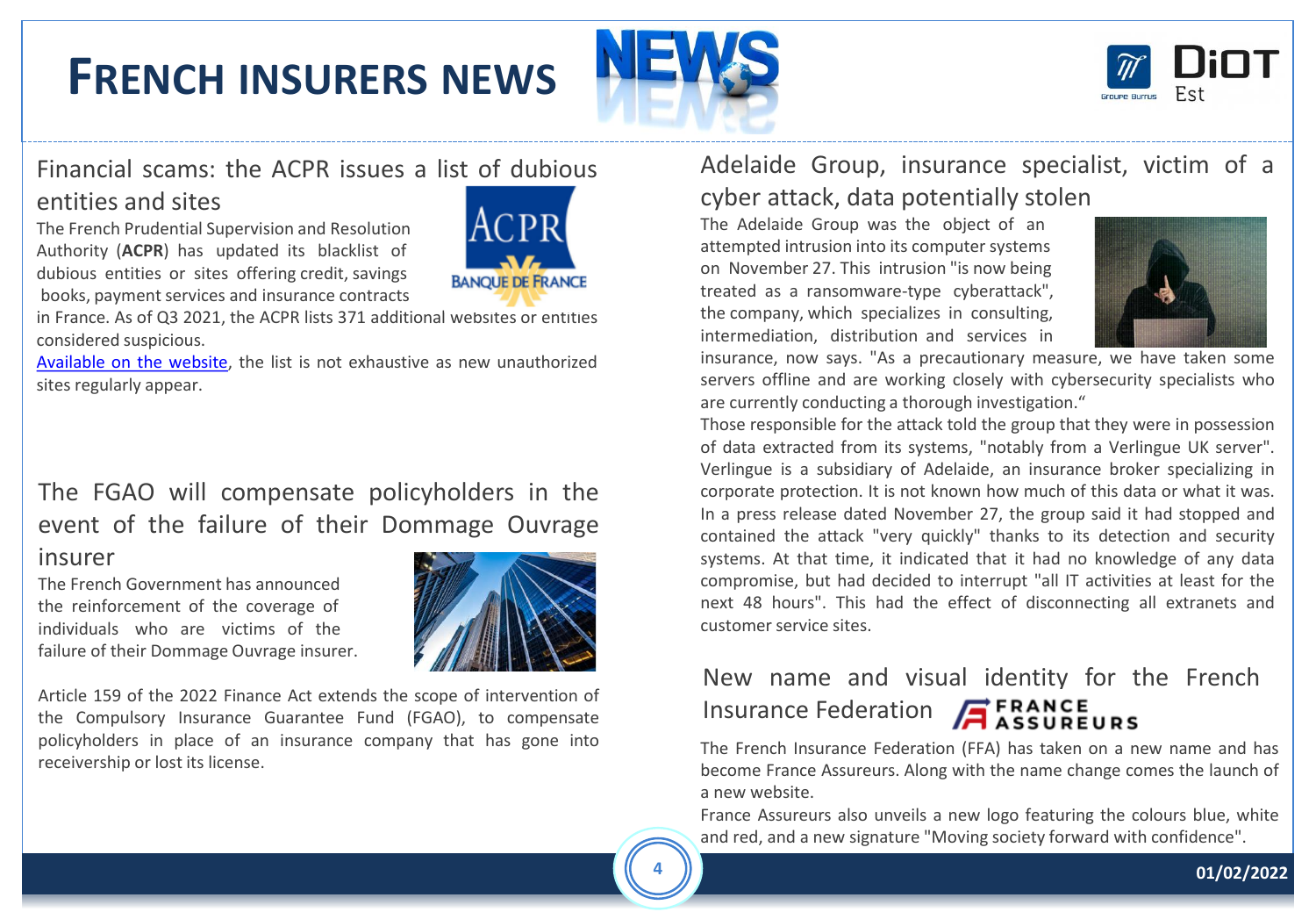## **FRENCH INSURERS NEWS**





#### Financial scams: the ACPR issues a list of dubious

#### entities and sites

The French Prudential Supervision and Resolution Authority (**ACPR**) has updated its blacklist of dubious entities or sites offering credit, savings books, payment services and insurance contracts



in France. As of Q3 2021, the ACPR lists 371 additional websites or entities considered suspicious.

[Available](https://acpr.banque-france.fr/communique-de-presse/escroqueries-lacpr-met-en-garde-le-public-contre-les-propositions-frauduleuses-de-credits-de-livrets-6) on the website, the list is not exhaustive as new unauthorized sites regularly appear.

#### The FGAO will compensate policyholders in the event of the failure of their Dommage Ouvrage

#### insurer

The French Government has announced the reinforcement of the coverage of individuals who are victims of the failure of their Dommage Ouvrage insurer.



Article 159 of the 2022 Finance Act extends the scope of intervention of the Compulsory Insurance Guarantee Fund (FGAO), to compensate policyholders in place of an insurance company that has gone into receivership or lost its license.

#### Adelaide Group, insurance specialist, victim of a cyber attack, data potentially stolen

The Adelaide Group was the object of an attempted intrusion into its computer systems on November 27. This intrusion "is now being treated as a ransomware-type cyberattack", the company, which specializes in consulting, intermediation, distribution and services in



insurance, now says. "As a precautionary measure, we have taken some servers offline and are working closely with cybersecurity specialists who are currently conducting a thorough investigation."

Those responsible for the attack told the group that they were in possession of data extracted from its systems, "notably from a Verlingue UK server". Verlingue is a subsidiary of Adelaide, an insurance broker specializing in corporate protection. It is not known how much of this data or what it was. In a press release dated November 27, the group said it had stopped and contained the attack "very quickly" thanks to its detection and security systems. At that time, it indicated that it had no knowledge of any data compromise, but had decided to interrupt "all IT activities at least for the next 48 hours". This had the effect of disconnecting all extranets and customer service sites.

### New name and visual identity for the French Insurance Federation **A** ERANCE

The French Insurance Federation (FFA) has taken on a new name and has become France Assureurs. Along with the name change comes the launch of a new website.

France Assureurs also unveils a new logo featuring the colours blue, white and red, and a new signature "Moving society forward with confidence".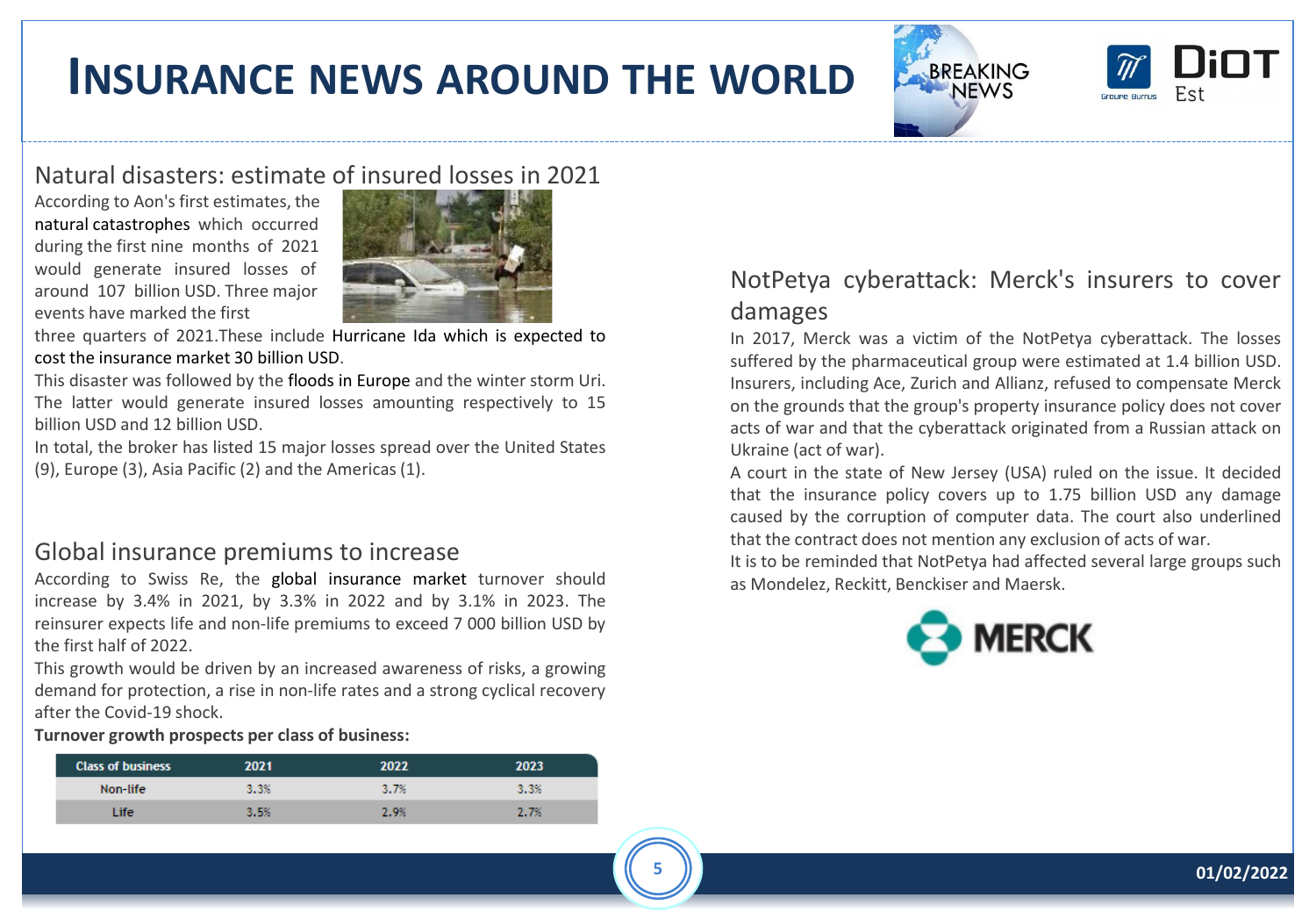## **INSURANCE NEWS AROUND THE WORLD**





#### Natural disasters: estimate of insured losses in 2021

According to Aon's first estimates, the natural catastrophes which occurred during the first nine months of 2021 would generate insured losses of around 107 billion USD. Three major events have marked the first



three quarters of 2021.These include Hurricane Ida which is expected to cost the insurance market 30 billion USD.

This disaster was followed by the floods in Europe and the winter storm Uri. The latter would generate insured losses amounting respectively to 15 billion USD and 12 billion USD.

In total, the broker has listed 15 major losses spread over the United States (9), Europe (3), Asia Pacific (2) and the Americas (1).

#### Global insurance premiums to increase

According to Swiss Re, the global insurance market turnover should increase by 3.4% in 2021, by 3.3% in 2022 and by 3.1% in 2023. The reinsurer expects life and non-life premiums to exceed 7 000 billion USD by the first half of 2022.

This growth would be driven by an increased awareness of risks, a growing demand for protection, a rise in non-life rates and a strong cyclical recovery after the Covid-19 shock.

**Turnover growth prospects per class of business:**

| <b>Class of business</b> | 2021 | 2022 | 2023 |
|--------------------------|------|------|------|
| Non-life                 | 3.3% | 3.7% | 3.3% |
| Life.                    | 3.5% | 2.9% | 2.7% |

#### NotPetya cyberattack: Merck's insurers to cover damages

In 2017, Merck was a victim of the NotPetya cyberattack. The losses suffered by the pharmaceutical group were estimated at 1.4 billion USD. Insurers, including Ace, Zurich and Allianz, refused to compensate Merck on the grounds that the group's property insurance policy does not cover acts of war and that the cyberattack originated from a Russian attack on Ukraine (act of war).

A court in the state of New Jersey (USA) ruled on the issue. It decided that the insurance policy covers up to 1.75 billion USD any damage caused by the corruption of computer data. The court also underlined that the contract does not mention any exclusion of acts of war.

It is to be reminded that NotPetya had affected several large groups such as Mondelez, Reckitt, Benckiser and Maersk.

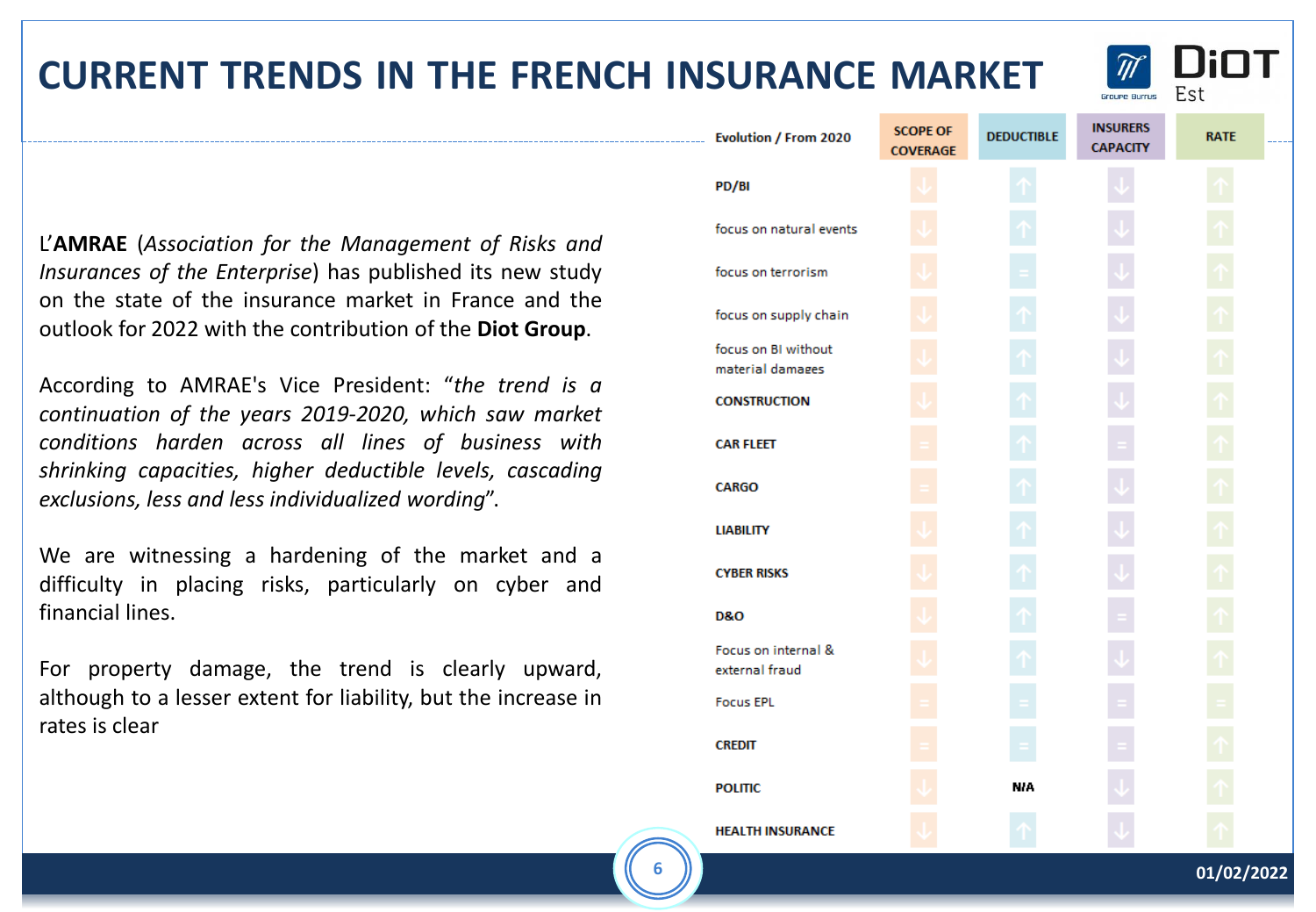#### **6 01/02/2022**

### **CURRENT TRENDS IN THE FRENCH INSURANCE MARKET**

L'**AMRAE** (*Association for the Management of Risks and Insurances of the Enterprise*) has published its new study on the state of the insurance market in France and the outlook for 2022 with the contribution of the **Diot Group**.

According to AMRAE's Vice President: "*the trend is a continuation of the years 2019-2020, which saw market conditions harden across all lines of business with shrinking capacities, higher deductible levels, cascading exclusions, less and less individualized wording*".

We are witnessing a hardening of the market and a difficulty in placing risks, particularly on cyber and financial lines.

For property damage, the trend is clearly upward, although to a lesser extent for liability, but the increase in rates is clear

| Evolution / From 2020                   | <b>SCOPE OF</b><br><b>COVERAGE</b> | <b>DEDUCTIBLE</b> | <b>INSURERS</b><br><b>CAPACITY</b> | <b>RATE</b> |  |
|-----------------------------------------|------------------------------------|-------------------|------------------------------------|-------------|--|
| PD/BI                                   |                                    |                   |                                    |             |  |
| focus on natural events                 |                                    |                   |                                    |             |  |
| focus on terrorism                      |                                    |                   |                                    |             |  |
| focus on supply chain                   |                                    |                   |                                    |             |  |
| focus on BI without<br>material damages |                                    |                   |                                    |             |  |
| <b>CONSTRUCTION</b>                     |                                    |                   |                                    |             |  |
| <b>CAR FLEET</b>                        |                                    |                   |                                    |             |  |
| <b>CARGO</b>                            |                                    |                   |                                    |             |  |
| <b>LIABILITY</b>                        |                                    |                   |                                    |             |  |
| <b>CYBER RISKS</b>                      |                                    |                   |                                    |             |  |
| <b>D&amp;O</b>                          |                                    |                   |                                    |             |  |
| Focus on internal &<br>external fraud   |                                    |                   |                                    |             |  |
| <b>Focus EPL</b>                        |                                    |                   |                                    |             |  |
| <b>CREDIT</b>                           |                                    |                   |                                    |             |  |
| <b>POLITIC</b>                          |                                    | <b>NIA</b>        |                                    |             |  |
| <b>HEALTH INSURANCE</b>                 |                                    |                   |                                    |             |  |

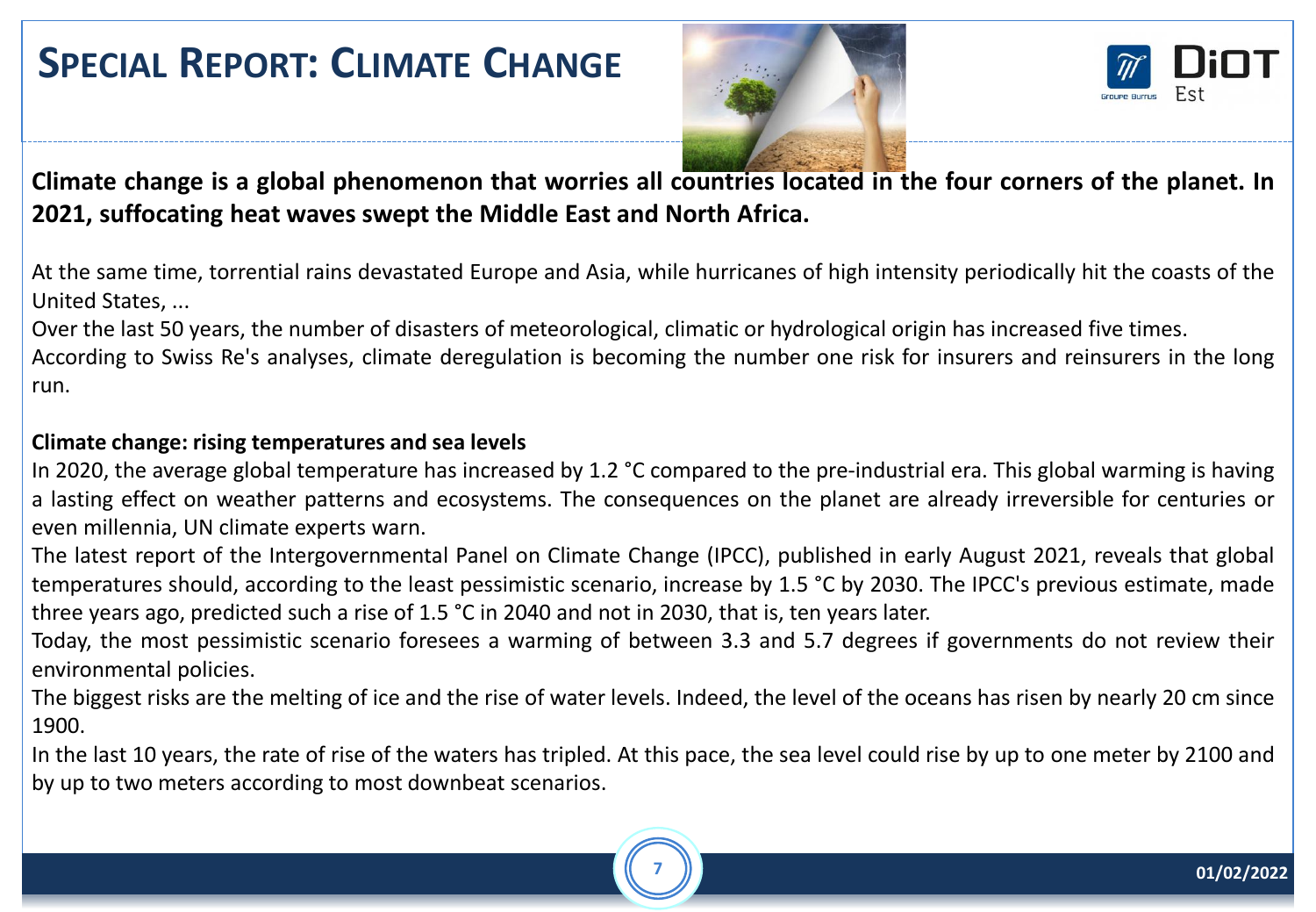### **SPECIAL REPORT: CLIMATE CHANGE**





Climate change is a global phenomenon that worries all countries located in the four corners of the planet. In **2021, suffocating heat waves swept the Middle East and North Africa.**

At the same time, torrential rains devastated Europe and Asia, while hurricanes of high intensity periodically hit the coasts of the United States, ...

Over the last 50 years, the number of disasters of meteorological, climatic or hydrological origin has increased five times.

According to Swiss Re's analyses, climate deregulation is becoming the number one risk for insurers and reinsurers in the long run.

#### **Climate change: rising temperatures and sea levels**

In 2020, the average global temperature has increased by 1.2 °C compared to the pre-industrial era. This global warming is having a lasting effect on weather patterns and ecosystems. The consequences on the planet are already irreversible for centuries or even millennia, UN climate experts warn.

The latest report of the Intergovernmental Panel on Climate Change (IPCC), published in early August 2021, reveals that global temperatures should, according to the least pessimistic scenario, increase by 1.5 °C by 2030. The IPCC's previous estimate, made three years ago, predicted such a rise of 1.5 °C in 2040 and not in 2030, that is, ten years later.

Today, the most pessimistic scenario foresees a warming of between 3.3 and 5.7 degrees if governments do not review their environmental policies.

The biggest risks are the melting of ice and the rise of water levels. Indeed, the level of the oceans has risen by nearly 20 cm since 1900.

In the last 10 years, the rate of rise of the waters has tripled. At this pace, the sea level could rise by up to one meter by 2100 and by up to two meters according to most downbeat scenarios.

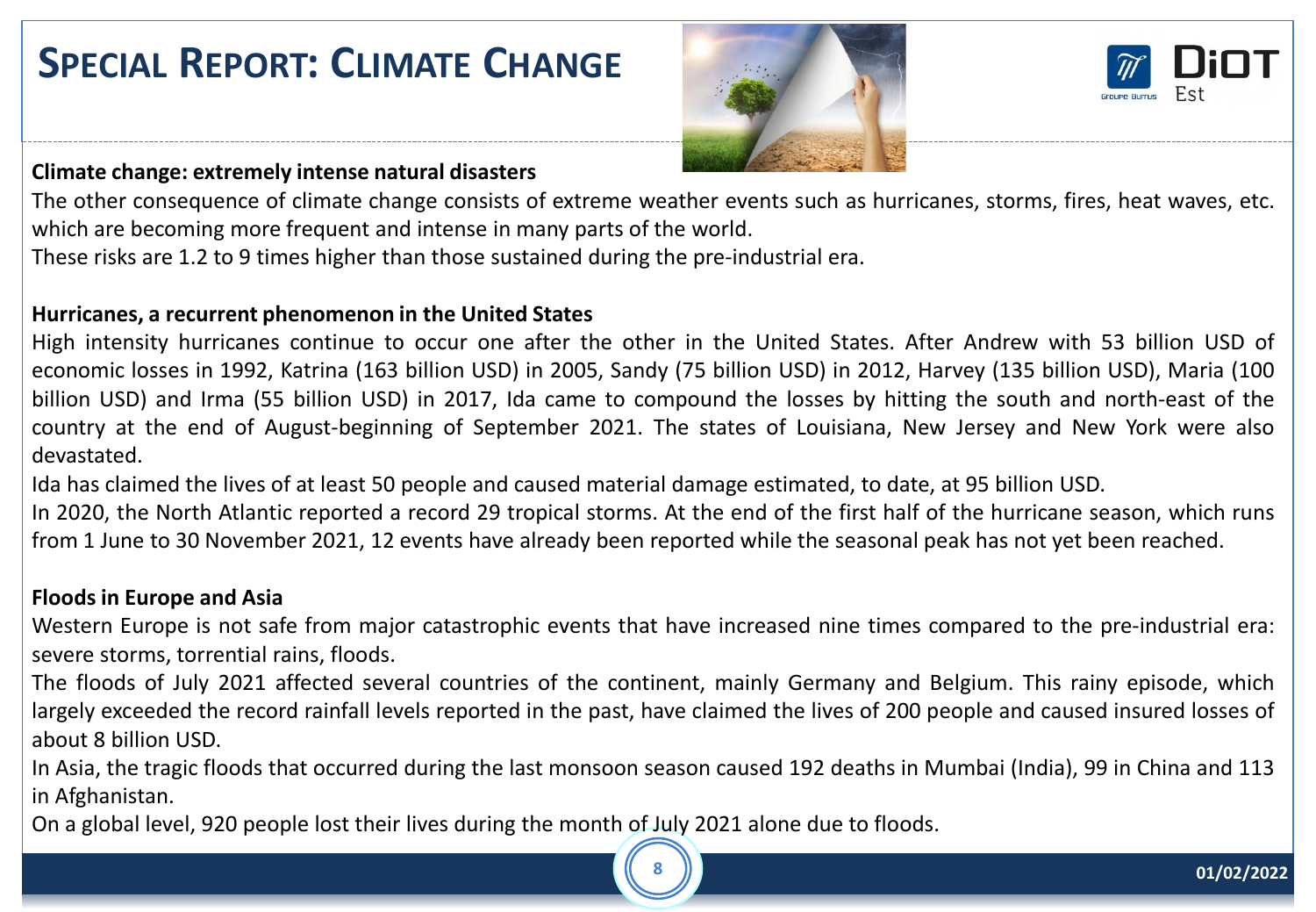### **SPECIAL REPORT: CLIMATE CHANGE**





#### **Climate change: extremely intense natural disasters**

The other consequence of climate change consists of extreme weather events such as hurricanes, storms, fires, heat waves, etc. which are becoming more frequent and intense in many parts of the world.

These risks are 1.2 to 9 times higher than those sustained during the pre-industrial era.

#### **Hurricanes, a recurrent phenomenon in the United States**

High intensity hurricanes continue to occur one after the other in the United States. After Andrew with 53 billion USD of economic losses in 1992, Katrina (163 billion USD) in 2005, Sandy (75 billion USD) in 2012, Harvey (135 billion USD), Maria (100 billion USD) and Irma (55 billion USD) in 2017, Ida came to compound the losses by hitting the south and north-east of the country at the end of August-beginning of September 2021. The states of Louisiana, New Jersey and New York were also devastated.

Ida has claimed the lives of at least 50 people and caused material damage estimated, to date, at 95 billion USD.

In 2020, the North Atlantic reported a record 29 tropical storms. At the end of the first half of the hurricane season, which runs from 1 June to 30 November 2021, 12 events have already been reported while the seasonal peak has not yet been reached.

#### **Floods in Europe and Asia**

Western Europe is not safe from major catastrophic events that have increased nine times compared to the pre-industrial era: severe storms, torrential rains, floods.

The floods of July 2021 affected several countries of the continent, mainly Germany and Belgium. This rainy episode, which largely exceeded the record rainfall levels reported in the past, have claimed the lives of 200 people and caused insured losses of about 8 billion USD.

In Asia, the tragic floods that occurred during the last monsoon season caused 192 deaths in Mumbai (India), 99 in China and 113 in Afghanistan.

On a global level, 920 people lost their lives during the month of July 2021 alone due to floods.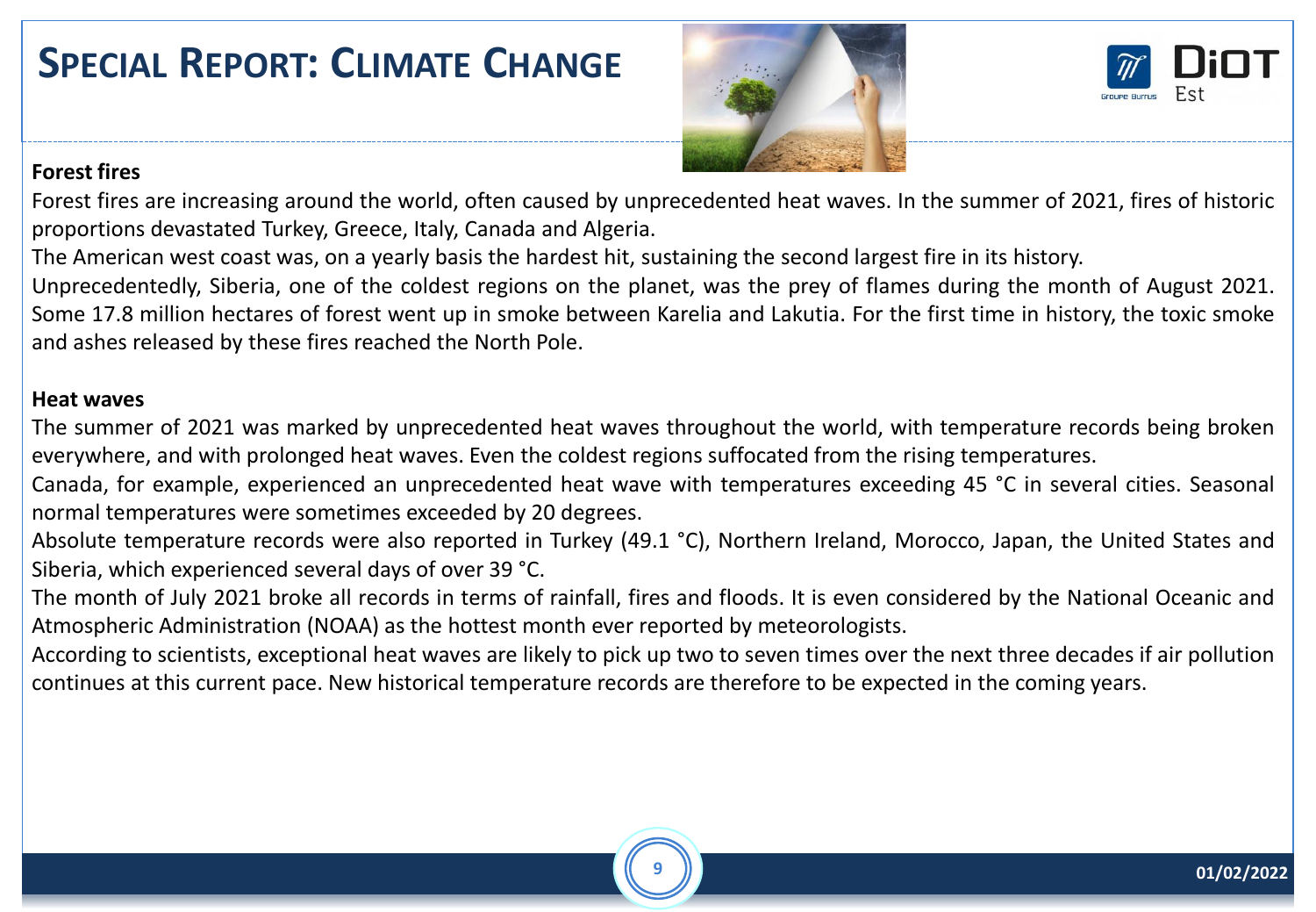### **SPECIAL REPORT: CLIMATE CHANGE**





#### **Forest fires**

Forest fires are increasing around the world, often caused by unprecedented heat waves. In the summer of 2021, fires of historic proportions devastated Turkey, Greece, Italy, Canada and Algeria.

The American west coast was, on a yearly basis the hardest hit, sustaining the second largest fire in its history.

Unprecedentedly, Siberia, one of the coldest regions on the planet, was the prey of flames during the month of August 2021. Some 17.8 million hectares of forest went up in smoke between Karelia and Lakutia. For the first time in history, the toxic smoke and ashes released by these fires reached the North Pole.

#### **Heat waves**

The summer of 2021 was marked by unprecedented heat waves throughout the world, with temperature records being broken everywhere, and with prolonged heat waves. Even the coldest regions suffocated from the rising temperatures.

Canada, for example, experienced an unprecedented heat wave with temperatures exceeding 45 °C in several cities. Seasonal normal temperatures were sometimes exceeded by 20 degrees.

Absolute temperature records were also reported in Turkey (49.1 °C), Northern Ireland, Morocco, Japan, the United States and Siberia, which experienced several days of over 39 °C.

The month of July 2021 broke all records in terms of rainfall, fires and floods. It is even considered by the National Oceanic and Atmospheric Administration (NOAA) as the hottest month ever reported by meteorologists.

According to scientists, exceptional heat waves are likely to pick up two to seven times over the next three decades if air pollution continues at this current pace. New historical temperature records are therefore to be expected in the coming years.

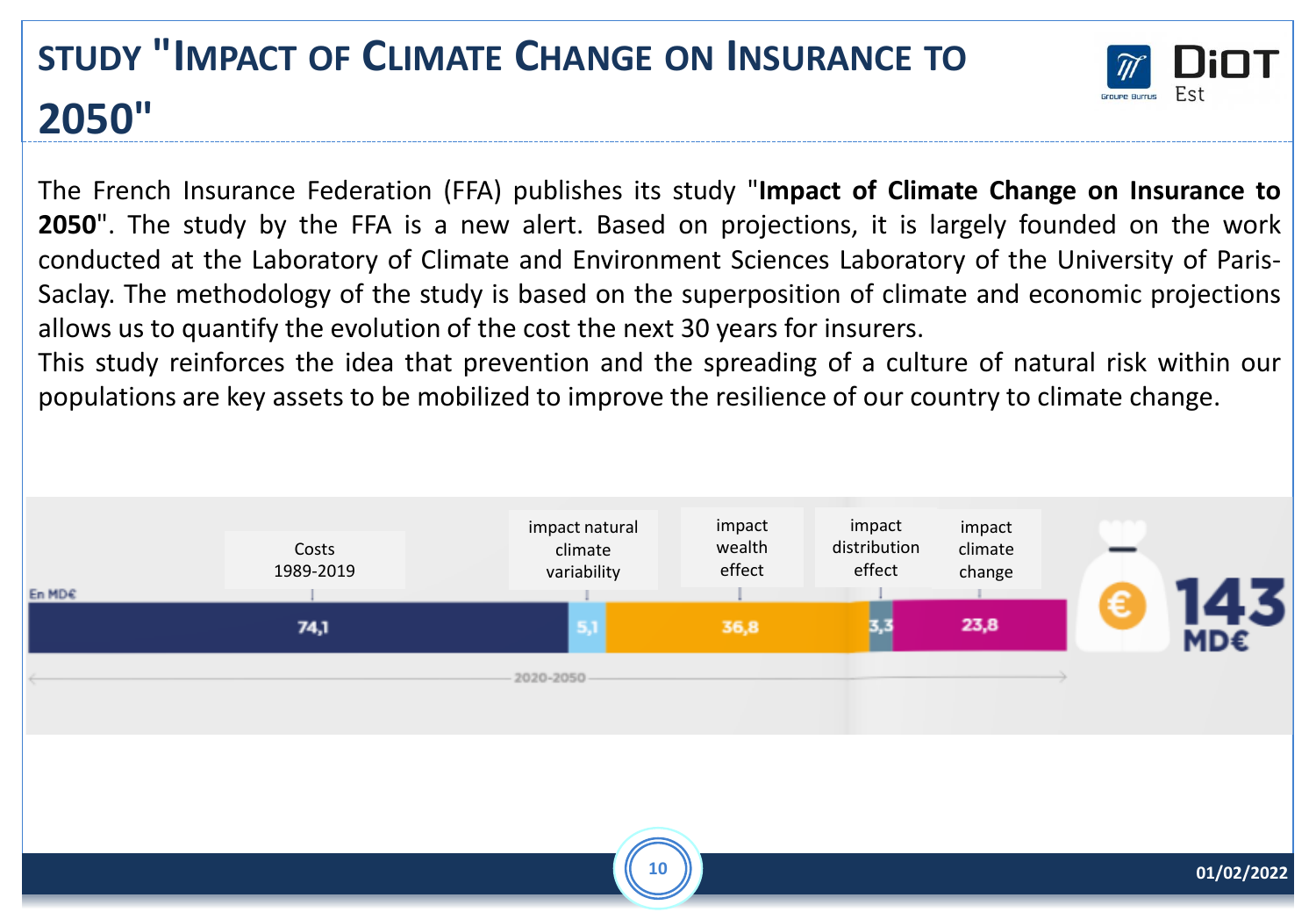# **STUDY "IMPACT OF CLIMATE CHANGE ON INSURANCE TO 2050"**



The French Insurance Federation (FFA) publishes its study "**Impact of Climate Change on Insurance to 2050**". The study by the FFA is a new alert. Based on projections, it is largely founded on the work conducted at the Laboratory of Climate and Environment Sciences Laboratory of the University of Paris-Saclay. The methodology of the study is based on the superposition of climate and economic projections allows us to quantify the evolution of the cost the next 30 years for insurers.

This study reinforces the idea that prevention and the spreading of a culture of natural risk within our populations are key assets to be mobilized to improve the resilience of our country to climate change.

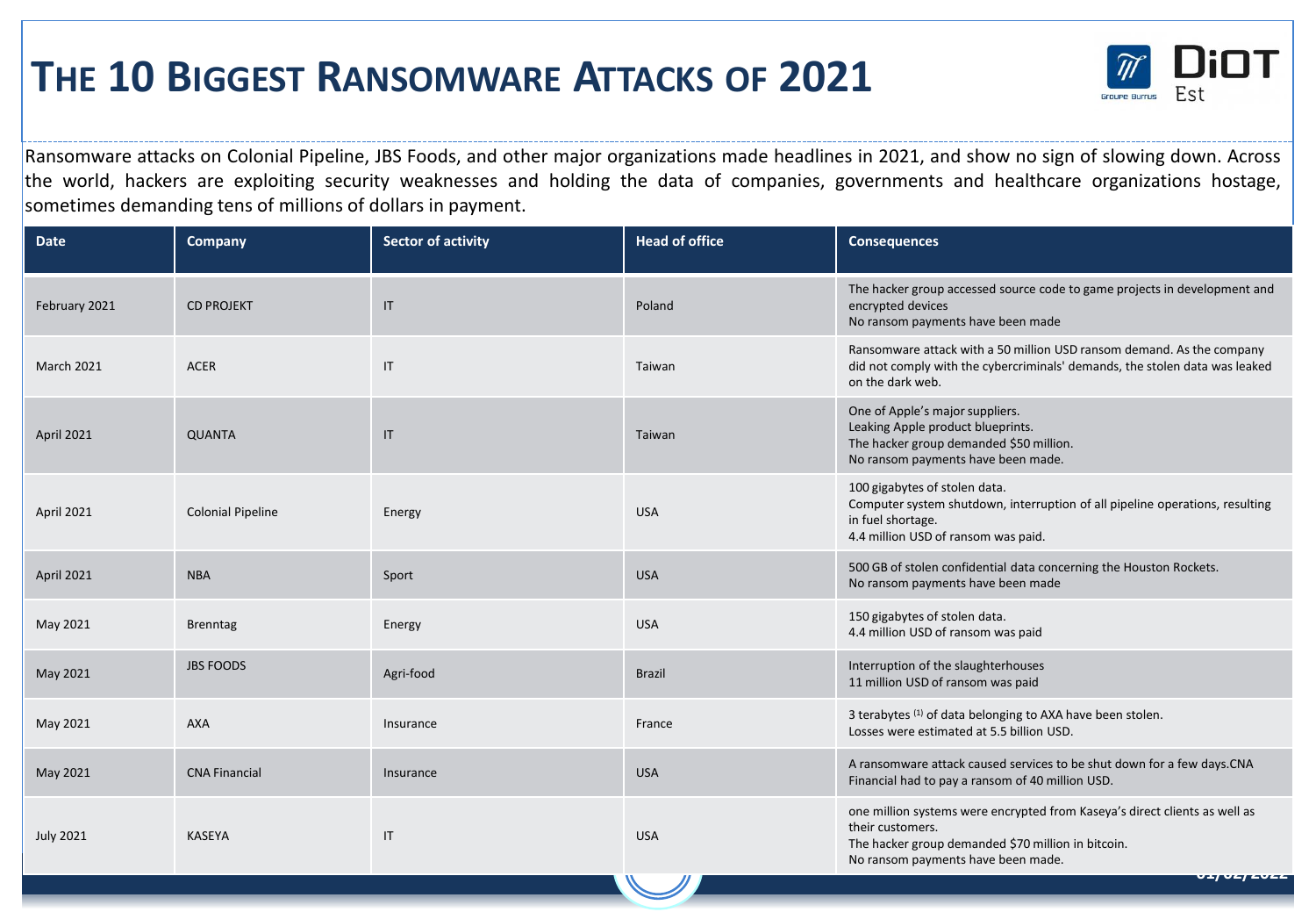### **THE 10 BIGGEST RANSOMWARE ATTACKS OF 2021**



Ransomware attacks on Colonial Pipeline, JBS Foods, and other major organizations made headlines in 2021, and show no sign of slowing down. Across the world, hackers are exploiting security weaknesses and holding the data of companies, governments and healthcare organizations hostage, sometimes demanding tens of millions of dollars in payment.

| <b>Date</b>       | <b>Company</b>           | <b>Sector of activity</b> | <b>Head of office</b> | <b>Consequences</b>                                                                                                                                                                                                 |
|-------------------|--------------------------|---------------------------|-----------------------|---------------------------------------------------------------------------------------------------------------------------------------------------------------------------------------------------------------------|
| February 2021     | <b>CD PROJEKT</b>        | $\mathsf{I}\mathsf{T}$    | Poland                | The hacker group accessed source code to game projects in development and<br>encrypted devices<br>No ransom payments have been made                                                                                 |
| <b>March 2021</b> | <b>ACER</b>              | $\mathsf{I}\mathsf{T}$    | Taiwan                | Ransomware attack with a 50 million USD ransom demand. As the company<br>did not comply with the cybercriminals' demands, the stolen data was leaked<br>on the dark web.                                            |
| April 2021        | <b>QUANTA</b>            | $\mathsf{I}\mathsf{T}$    | Taiwan                | One of Apple's major suppliers.<br>Leaking Apple product blueprints.<br>The hacker group demanded \$50 million.<br>No ransom payments have been made.                                                               |
| April 2021        | <b>Colonial Pipeline</b> | Energy                    | <b>USA</b>            | 100 gigabytes of stolen data.<br>Computer system shutdown, interruption of all pipeline operations, resulting<br>in fuel shortage.<br>4.4 million USD of ransom was paid.                                           |
| April 2021        | <b>NBA</b>               | Sport                     | <b>USA</b>            | 500 GB of stolen confidential data concerning the Houston Rockets.<br>No ransom payments have been made                                                                                                             |
| May 2021          | <b>Brenntag</b>          | Energy                    | <b>USA</b>            | 150 gigabytes of stolen data.<br>4.4 million USD of ransom was paid                                                                                                                                                 |
| May 2021          | <b>JBS FOODS</b>         | Agri-food                 | <b>Brazil</b>         | Interruption of the slaughterhouses<br>11 million USD of ransom was paid                                                                                                                                            |
| May 2021          | <b>AXA</b>               | Insurance                 | France                | 3 terabytes (1) of data belonging to AXA have been stolen.<br>Losses were estimated at 5.5 billion USD.                                                                                                             |
| May 2021          | <b>CNA Financial</b>     | Insurance                 | <b>USA</b>            | A ransomware attack caused services to be shut down for a few days.CNA<br>Financial had to pay a ransom of 40 million USD.                                                                                          |
| <b>July 2021</b>  | <b>KASEYA</b>            | IT                        | <b>USA</b>            | one million systems were encrypted from Kaseya's direct clients as well as<br>their customers.<br>The hacker group demanded \$70 million in bitcoin.<br>No ransom payments have been made.<br>$U + U U Z + Z U Z Z$ |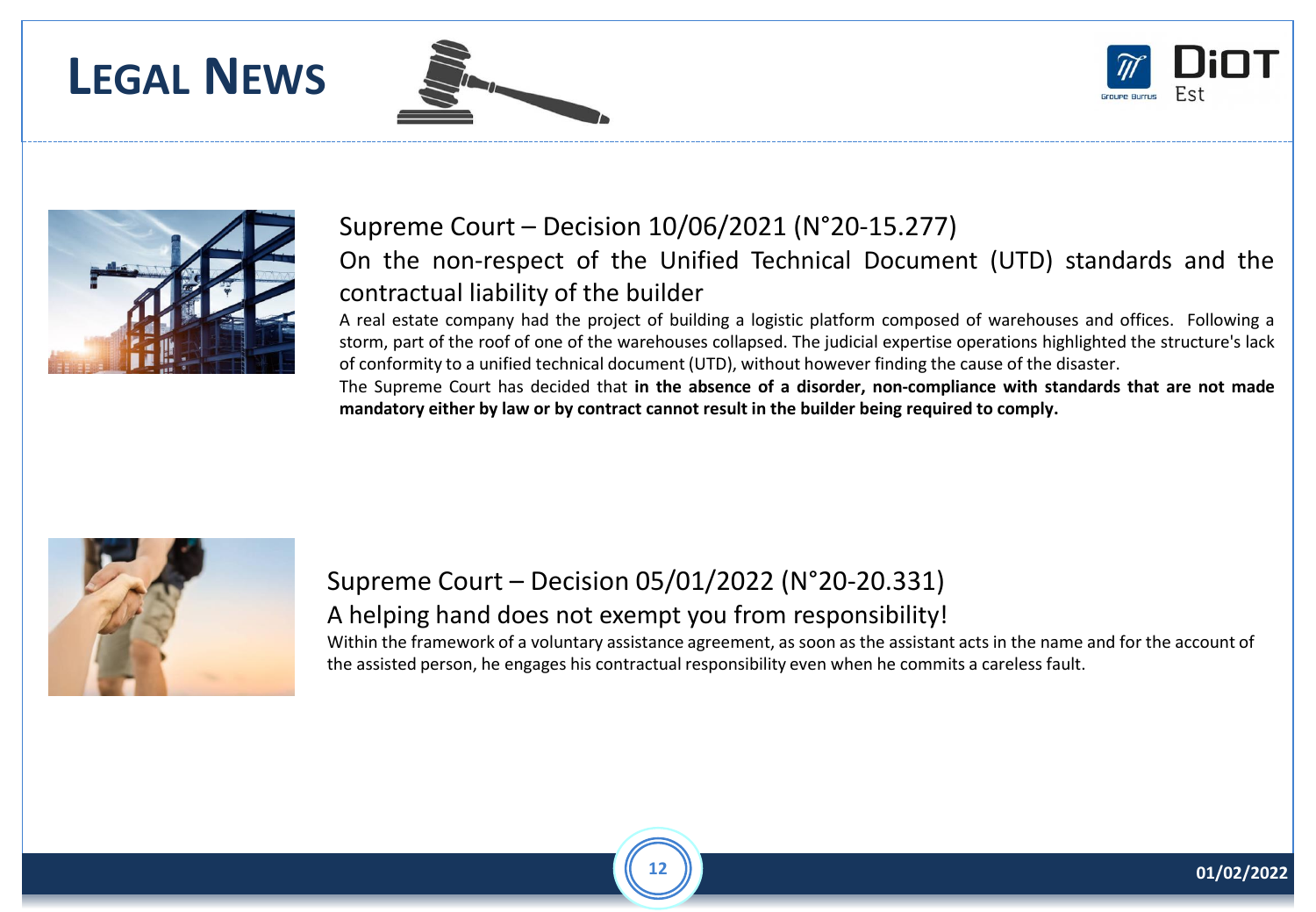## **LEGAL NEWS**







### Supreme Court – Decision 10/06/2021 (N°20-15.277)

On the non-respect of the Unified Technical Document (UTD) standards and the contractual liability of the builder

A real estate company had the project of building a logistic platform composed of warehouses and offices. Following a storm, part of the roof of one of the warehouses collapsed. The judicial expertise operations highlighted the structure's lack of conformity to a unified technical document (UTD), without however finding the cause of the disaster.

The Supreme Court has decided that **in the absence of a disorder, non-compliance with standards that are not made mandatory either by law or by contract cannot result in the builder being required to comply.**



### Supreme Court – Decision 05/01/2022 (N°20-20.331) A helping hand does not exempt you from responsibility!

Within the framework of a voluntary assistance agreement, as soon as the assistant acts in the name and for the account of the assisted person, he engages his contractual responsibility even when he commits a careless fault.

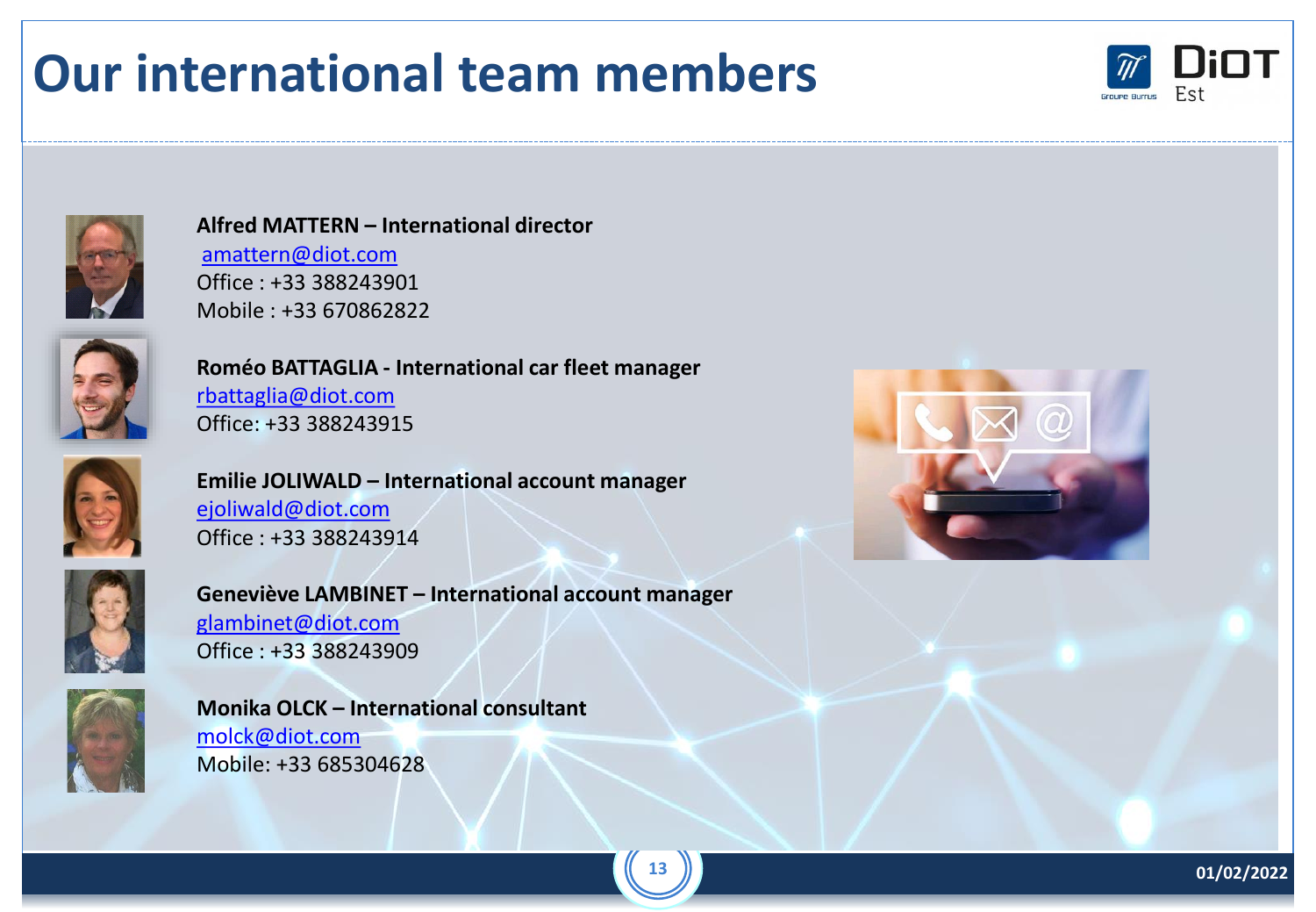# **Our international team members**





#### **Alfred MATTERN – International director**  [amattern@diot.com](mailto:amattern@diot.com) Office : +33 388243901 Mobile : +33 670862822



**Roméo BATTAGLIA - International car fleet manager** [rbattaglia@diot.com](mailto:dhan@diot.com) Office: +33 388243915



**Emilie JOLIWALD – International account manager**  [ejoliwald@diot.com](mailto:wmecha@diot.com) Office : +33 388243914



**Geneviève LAMBINET – International account manager**  [glambinet@diot.com](mailto:glambinet@diot.com) Office : +33 388243909



**Monika OLCK – International consultant**  [molck@diot.com](mailto:molck@diot.com) Mobile: +33 685304628